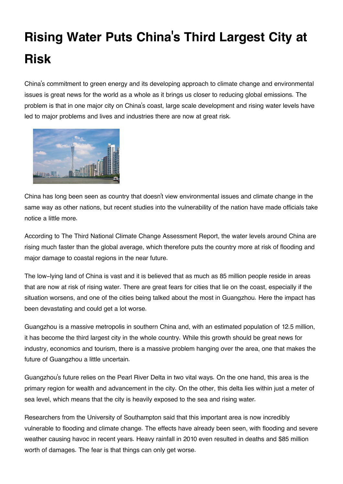## **Rising Water Puts China's Third Largest City at Risk**

China's commitment to green energy and its developing approach to climate change and environmental issues is great news for the world as a whole as it brings us closer to reducing global emissions. The problem is that in one major city on China's coast, large scale development and rising water levels have led to major problems and lives and industries there are now at great risk.



China has long been seen as country that doesn't view environmental issues and climate change in the same way as other nations, but recent studies into the vulnerability of the nation have made officials take notice a little more.

According to The Third National Climate Change Assessment Report, the water levels around China are rising much faster than the global average, which therefore puts the country more at risk of flooding and major damage to coastal regions in the near future.

The low-lying land of China is vast and it is believed that as much as 85 million people reside in areas that are now at risk of rising water. There are great fears for cities that lie on the coast, especially if the situation worsens, and one of the cities being talked about the most in Guangzhou. Here the impact has been devastating and could get a lot worse.

Guangzhou is a massive metropolis in southern China and, with an estimated population of 12.5 million, it has become the third largest city in the whole country. While this growth should be great news for industry, economics and tourism, there is a massive problem hanging over the area, one that makes the future of Guangzhou a little uncertain.

Guangzhou's future relies on the Pearl River Delta in two vital ways. On the one hand, this area is the primary region for wealth and advancement in the city. On the other, this delta lies within just a meter of sea level, which means that the city is heavily exposed to the sea and rising water.

Researchers from the University of Southampton said that this important area is now incredibly vulnerable to flooding and climate change. The effects have already been seen, with flooding and severe weather causing havoc in recent years. Heavy rainfall in 2010 even resulted in deaths and \$85 million worth of damages. The fear is that things can only get worse.